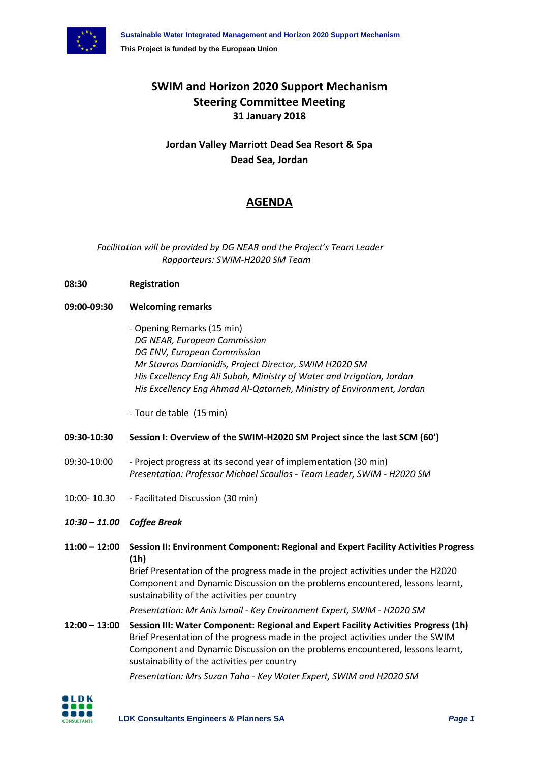

## **SWIM and Horizon 2020 Support Mechanism Steering Committee Meeting 31 January 2018**

**Jordan Valley Marriott Dead Sea Resort & Spa Dead Sea, Jordan**

## **AGENDA**

*Facilitation will be provided by DG NEAR and the Project's Team Leader Rapporteurs: SWIM-H2020 SM Team*

- **08:30 Registration**
- **09:00-09:30 Welcoming remarks**
	- Opening Remarks (15 min) *DG NEAR, European Commission DG ENV, European Commission Mr Stavros Damianidis, Project Director, SWIM H2020 SM His Excellency Eng Ali Subah, Ministry of Water and Irrigation, Jordan His Excellency Eng Ahmad Al-Qatarneh, Ministry of Environment, Jordan*

- Tour de table (15 min)

## **09:30-10:30 Session I: Overview of the SWIM-H2020 SM Project since the last SCM (60')**

- 09:30-10:00 Project progress at its second year of implementation (30 min) *Presentation: Professor Michael Scoullos - Team Leader, SWIM - H2020 SM*
- 10:00- 10.30 Facilitated Discussion (30 min)
- *10:30 – 11.00 Coffee Break*
- **11:00 – 12:00 Session II: Environment Component: Regional and Expert Facility Activities Progress (1h)**

Brief Presentation of the progress made in the project activities under the H2020 Component and Dynamic Discussion on the problems encountered, lessons learnt, sustainability of the activities per country

*Presentation: Mr Anis Ismail - Key Environment Expert, SWIM - H2020 SM*

**12:00 – 13:00 Session III: Water Component: Regional and Expert Facility Activities Progress (1h)** Brief Presentation of the progress made in the project activities under the SWIM Component and Dynamic Discussion on the problems encountered, lessons learnt, sustainability of the activities per country

*Presentation: Mrs Suzan Taha - Key Water Expert, SWIM and H2020 SM*